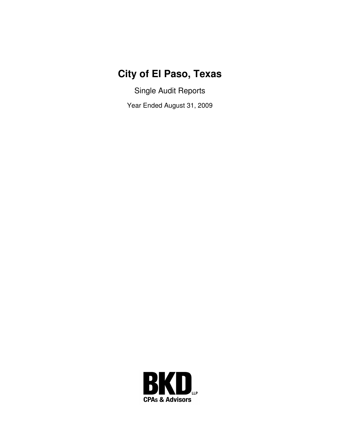# **City of El Paso, Texas**

Single Audit Reports

Year Ended August 31, 2009

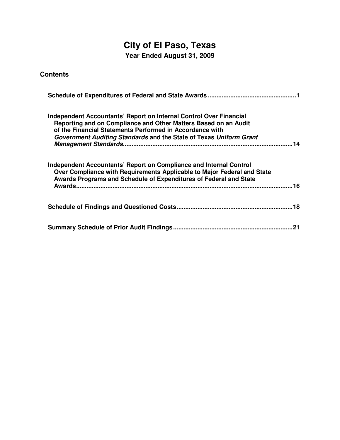# **City of El Paso, Texas**

**Year Ended August 31, 2009** 

| <b>Contents</b> |
|-----------------|
|-----------------|

| Independent Accountants' Report on Internal Control Over Financial<br>Reporting and on Compliance and Other Matters Based on an Audit<br>of the Financial Statements Performed in Accordance with<br>Government Auditing Standards and the State of Texas Uniform Grant |
|-------------------------------------------------------------------------------------------------------------------------------------------------------------------------------------------------------------------------------------------------------------------------|
| Independent Accountants' Report on Compliance and Internal Control<br>Over Compliance with Requirements Applicable to Major Federal and State<br>Awards Programs and Schedule of Expenditures of Federal and State<br>.16                                               |
|                                                                                                                                                                                                                                                                         |
| 21                                                                                                                                                                                                                                                                      |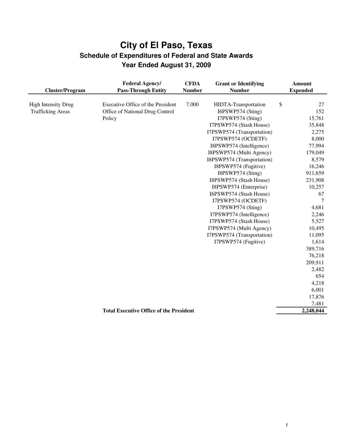|                            | <b>Federal Agency/</b>                         | <b>CFDA</b>   | <b>Grant or Identifying</b> | <b>Amount</b>          |
|----------------------------|------------------------------------------------|---------------|-----------------------------|------------------------|
| <b>Cluster/Program</b>     | <b>Pass-Through Entity</b>                     | <b>Number</b> | <b>Number</b>               | <b>Expended</b>        |
|                            |                                                |               |                             |                        |
| <b>High Intensity Drug</b> | Executive Office of the President              | 7.000         | HIDTA-Transportation        | \$<br>27               |
| <b>Trafficking Areas</b>   | Office of National Drug Control                |               | I6PSWP574 (Sting)           | 152                    |
|                            | Policy                                         |               | I7PSWP574 (Sting)           | 15,761                 |
|                            |                                                |               | I7PSWP574 (Stash House)     | 35,848                 |
|                            |                                                |               | I7PSWP574 (Transportation)  | 2,275                  |
|                            |                                                |               | I7PSWP574 (OCDETF)          | 8,000                  |
|                            |                                                |               | I8PSWP574 (Intelligence)    | 77,994                 |
|                            |                                                |               | I8PSWP574 (Multi Agency)    | 179,049                |
|                            |                                                |               | I8PSWP574 (Transportation)  | 8,579                  |
|                            |                                                |               | I8PSWP574 (Fugitive)        | 16,246                 |
|                            |                                                |               | I8PSWP574 (Sting)           | 911,659                |
|                            |                                                |               | I8PSWP574 (Stash House)     | 231,908                |
|                            |                                                |               | I8PSWP574 (Enterprise)      | 10,257                 |
|                            |                                                |               | I6PSWP574 (Stash House)     | 67                     |
|                            |                                                |               | I7PSWP574 (OCDETF)          | 7                      |
|                            |                                                |               | I7PSWP574 (Sting)           | 4,681                  |
|                            |                                                |               | I7PSWP574 (Intelligence)    | 2,246                  |
|                            |                                                |               | I7PSWP574 (Stash House)     | 5,527                  |
|                            |                                                |               | I7PSWP574 (Multi Agency)    | 10,495                 |
|                            |                                                |               | I7PSWP574 (Transportation)  | 11,095                 |
|                            |                                                |               | I7PSWP574 (Fugitive)        | 1,614                  |
|                            |                                                |               |                             | 389,716                |
|                            |                                                |               |                             | 76,218                 |
|                            |                                                |               |                             | 209,911                |
|                            |                                                |               |                             | 2,482                  |
|                            |                                                |               |                             | 654                    |
|                            |                                                |               |                             | 4,218                  |
|                            |                                                |               |                             | 6,001                  |
|                            |                                                |               |                             | 17,876                 |
|                            |                                                |               |                             | 7,481                  |
|                            | <b>Total Executive Office of the President</b> |               |                             | $\overline{2,}248,044$ |
|                            |                                                |               |                             |                        |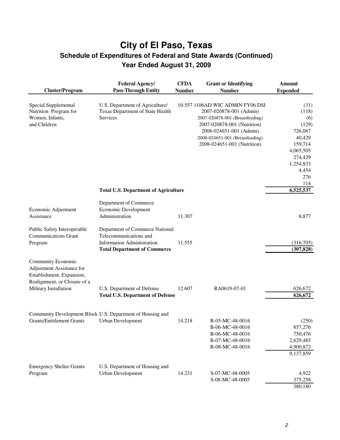| <b>Cluster/Program</b>                                                                                                                | <b>Federal Agency/</b><br><b>Pass-Through Entity</b>                                                                                  | <b>CFDA</b><br><b>Number</b> | <b>Grant or Identifying</b><br><b>Number</b>                                                                                                                                                                               | <b>Amount</b><br><b>Expended</b>                                                                                   |
|---------------------------------------------------------------------------------------------------------------------------------------|---------------------------------------------------------------------------------------------------------------------------------------|------------------------------|----------------------------------------------------------------------------------------------------------------------------------------------------------------------------------------------------------------------------|--------------------------------------------------------------------------------------------------------------------|
| Special Supplemental<br>Nutrition Program for<br>Women, Infants,<br>and Children                                                      | U.S. Department of Agriculture/<br>Texas Department of State Health<br>Services                                                       |                              | 10.557 1106AD WIC ADMIN FY06 DSI<br>2007-020878-001 (Admin)<br>2007-020878-001 (Breastfeeding)<br>2007-020878-001 (Nutrition)<br>2008-024651-001 (Admin)<br>2008-024651-001 (Breastfeeding)<br>2008-024651-001 (Nutrition) | (31)<br>(118)<br>(6)<br>(129)<br>726,067<br>40,429<br>159,714<br>4,065,505<br>274,429<br>1,254,833<br>4,454<br>276 |
|                                                                                                                                       | <b>Total U.S. Department of Agriculture</b>                                                                                           |                              |                                                                                                                                                                                                                            | 114<br>6,525,537                                                                                                   |
| Economic Adjustment<br>Assistance                                                                                                     | Department of Commerce<br>Economic Development<br>Administration                                                                      | 11.307                       |                                                                                                                                                                                                                            | 8,877                                                                                                              |
| Public Safety Interoperable<br><b>Communications Grant</b><br>Program                                                                 | Department of Commerce National<br>Telecommunications and<br><b>Information Administration</b><br><b>Total Department of Commerce</b> | 11.555                       |                                                                                                                                                                                                                            | (316,705)<br>(307, 828)                                                                                            |
| Community Economic<br>Adjustment Assistance for<br>Establishment, Expansion,<br>Realignment, or Closure of a<br>Military Installation | U.S. Department of Defense<br><b>Total U.S. Department of Defense</b>                                                                 | 12.607                       | RA0619-07-01                                                                                                                                                                                                               | 626,672<br>626,672                                                                                                 |
| <b>Grants/Entitlement Grants</b>                                                                                                      | Community Development Block U.S. Department of Housing and<br><b>Urban Development</b>                                                | 14.218                       | B-05-MC-48-0016<br>B-06-MC-48-0016<br>B-06-MC-48-0016<br>B-07-MC-48-0016<br>B-08-MC-48-0016                                                                                                                                | (250)<br>857,276<br>750,476<br>2,629,485<br>4,900,872<br>9,137,859                                                 |
| <b>Emergency Shelter Grants</b><br>Program                                                                                            | U.S. Department of Housing and<br>Urban Development                                                                                   | 14.231                       | S-07-MC-48-0005<br>S-08-MC-48-0005                                                                                                                                                                                         | 4,922<br>375,258<br>380,180                                                                                        |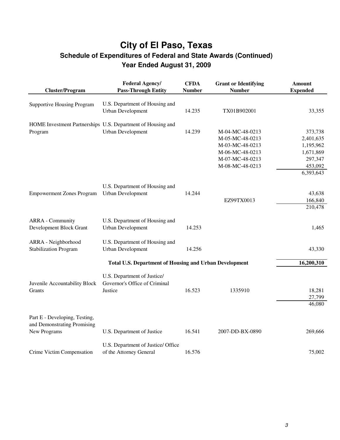| <b>Cluster/Program</b>            | <b>Federal Agency/</b><br><b>Pass-Through Entity</b>          | <b>CFDA</b><br><b>Number</b> | <b>Grant or Identifying</b><br><b>Number</b> | Amount<br><b>Expended</b> |
|-----------------------------------|---------------------------------------------------------------|------------------------------|----------------------------------------------|---------------------------|
| <b>Supportive Housing Program</b> | U.S. Department of Housing and<br>Urban Development           | 14.235                       | TX01B902001                                  | 33,355                    |
|                                   |                                                               |                              |                                              |                           |
|                                   | HOME Investment Partnerships U.S. Department of Housing and   |                              |                                              |                           |
| Program                           | Urban Development                                             | 14.239                       | M-04-MC-48-0213                              | 373,738                   |
|                                   |                                                               |                              | M-05-MC-48-0213                              | 2,401,635                 |
|                                   |                                                               |                              | M-03-MC-48-0213                              | 1,195,962                 |
|                                   |                                                               |                              | M-06-MC-48-0213                              | 1,671,869                 |
|                                   |                                                               |                              | M-07-MC-48-0213                              | 297,347                   |
|                                   |                                                               |                              | M-08-MC-48-0213                              | 453,092                   |
|                                   |                                                               |                              |                                              | 6,393,643                 |
|                                   | U.S. Department of Housing and                                |                              |                                              |                           |
| <b>Empowerment Zones Program</b>  | <b>Urban Development</b>                                      | 14.244                       |                                              | 43,638                    |
|                                   |                                                               |                              | EZ99TX0013                                   | 166,840                   |
|                                   |                                                               |                              |                                              | 210,478                   |
|                                   |                                                               |                              |                                              |                           |
| <b>ARRA</b> - Community           | U.S. Department of Housing and                                |                              |                                              |                           |
| Development Block Grant           | Urban Development                                             | 14.253                       |                                              | 1,465                     |
| ARRA - Neighborhood               | U.S. Department of Housing and                                |                              |                                              |                           |
| <b>Stabilization Program</b>      | Urban Development                                             | 14.256                       |                                              | 43,330                    |
|                                   |                                                               |                              |                                              |                           |
|                                   | <b>Total U.S. Department of Housing and Urban Development</b> |                              |                                              | 16,200,310                |
|                                   | U.S. Department of Justice/                                   |                              |                                              |                           |
| Juvenile Accountability Block     | Governor's Office of Criminal                                 |                              |                                              |                           |
| Grants                            | Justice                                                       | 16.523                       | 1335910                                      | 18,281                    |
|                                   |                                                               |                              |                                              | 27,799                    |
|                                   |                                                               |                              |                                              | 46,080                    |
|                                   |                                                               |                              |                                              |                           |
| Part E - Developing, Testing,     |                                                               |                              |                                              |                           |
| and Demonstrating Promising       |                                                               |                              |                                              |                           |
| New Programs                      | U.S. Department of Justice                                    | 16.541                       | 2007-DD-BX-0890                              | 269,666                   |
|                                   | U.S. Department of Justice/ Office                            |                              |                                              |                           |
| Crime Victim Compensation         | of the Attorney General                                       | 16.576                       |                                              | 75,002                    |
|                                   |                                                               |                              |                                              |                           |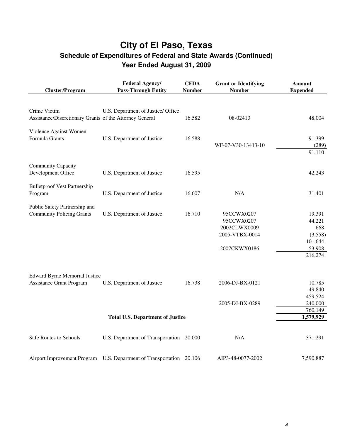| <b>Cluster/Program</b>                                  | <b>Federal Agency/</b><br><b>Pass-Through Entity</b>                 | <b>CFDA</b><br><b>Number</b> | <b>Grant or Identifying</b><br><b>Number</b> | <b>Amount</b><br><b>Expended</b> |
|---------------------------------------------------------|----------------------------------------------------------------------|------------------------------|----------------------------------------------|----------------------------------|
|                                                         |                                                                      |                              |                                              |                                  |
| Crime Victim                                            | U.S. Department of Justice/ Office                                   |                              |                                              |                                  |
| Assistance/Discretionary Grants of the Attorney General |                                                                      | 16.582                       | 08-02413                                     | 48,004                           |
| Violence Against Women                                  |                                                                      |                              |                                              |                                  |
| Formula Grants                                          | U.S. Department of Justice                                           | 16.588                       |                                              | 91,399                           |
|                                                         |                                                                      |                              | WF-07-V30-13413-10                           | (289)                            |
|                                                         |                                                                      |                              |                                              | 91,110                           |
| Community Capacity                                      |                                                                      |                              |                                              |                                  |
| Development Office                                      | U.S. Department of Justice                                           | 16.595                       |                                              | 42,243                           |
| <b>Bulletproof Vest Partnership</b>                     |                                                                      |                              |                                              |                                  |
| Program                                                 | U.S. Department of Justice                                           | 16.607                       | N/A                                          | 31,401                           |
| Public Safety Partnership and                           |                                                                      |                              |                                              |                                  |
| <b>Community Policing Grants</b>                        | U.S. Department of Justice                                           | 16.710                       | 95CCWX0207                                   | 19,391                           |
|                                                         |                                                                      |                              | 95CCWX0207                                   | 44,221                           |
|                                                         |                                                                      |                              | 2002CLWX0009                                 | 668                              |
|                                                         |                                                                      |                              | 2005-VTBX-0014                               | (3,558)                          |
|                                                         |                                                                      |                              |                                              | 101,644                          |
|                                                         |                                                                      |                              | 2007CKWX0186                                 | 53,908                           |
|                                                         |                                                                      |                              |                                              | 216,274                          |
|                                                         |                                                                      |                              |                                              |                                  |
| <b>Edward Byrne Memorial Justice</b>                    |                                                                      | 16.738                       |                                              | 10,785                           |
| <b>Assistance Grant Program</b>                         | U.S. Department of Justice                                           |                              | 2006-DJ-BX-0121                              | 49,840                           |
|                                                         |                                                                      |                              |                                              | 459,524                          |
|                                                         |                                                                      |                              | 2005-DJ-BX-0289                              | 240,000                          |
|                                                         |                                                                      |                              |                                              | 760,149                          |
|                                                         | <b>Total U.S. Department of Justice</b>                              |                              |                                              | 1,579,929                        |
|                                                         |                                                                      |                              |                                              |                                  |
| Safe Routes to Schools                                  | U.S. Department of Transportation 20.000                             |                              | N/A                                          | 371,291                          |
|                                                         | Airport Improvement Program U.S. Department of Transportation 20.106 |                              | AIP3-48-0077-2002                            | 7,590,887                        |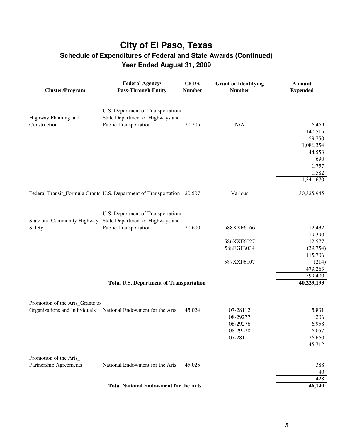| <b>Cluster/Program</b>               | <b>Federal Agency/</b><br><b>Pass-Through Entity</b>                    | <b>CFDA</b><br><b>Number</b> | <b>Grant or Identifying</b><br><b>Number</b> | <b>Amount</b><br><b>Expended</b> |
|--------------------------------------|-------------------------------------------------------------------------|------------------------------|----------------------------------------------|----------------------------------|
|                                      |                                                                         |                              |                                              |                                  |
|                                      | U.S. Department of Transportation/                                      |                              |                                              |                                  |
| Highway Planning and<br>Construction | State Department of Highways and<br>Public Transportation               | 20.205                       | N/A                                          | 6,469                            |
|                                      |                                                                         |                              |                                              | 140,515                          |
|                                      |                                                                         |                              |                                              | 59,750                           |
|                                      |                                                                         |                              |                                              | 1,086,354                        |
|                                      |                                                                         |                              |                                              | 44,553                           |
|                                      |                                                                         |                              |                                              | 690                              |
|                                      |                                                                         |                              |                                              | 1,757                            |
|                                      |                                                                         |                              |                                              | 1,582                            |
|                                      |                                                                         |                              |                                              | 1,341,670                        |
|                                      | Federal Transit_Formula Grants U.S. Department of Transportation 20.507 |                              | Various                                      | 30,325,945                       |
|                                      | U.S. Department of Transportation/                                      |                              |                                              |                                  |
| State and Community Highway          | State Department of Highways and                                        |                              |                                              |                                  |
| Safety                               | Public Transportation                                                   | 20.600                       | 588XXF6166                                   | 12,432                           |
|                                      |                                                                         |                              |                                              | 19,390                           |
|                                      |                                                                         |                              | 586XXF6027                                   | 12,577                           |
|                                      |                                                                         |                              | 588EGF6034                                   | (39, 754)                        |
|                                      |                                                                         |                              |                                              | 115,706                          |
|                                      |                                                                         |                              | 587XXF6107                                   | (214)                            |
|                                      |                                                                         |                              |                                              | 479,263                          |
|                                      |                                                                         |                              |                                              | 599,400                          |
|                                      | <b>Total U.S. Department of Transportation</b>                          |                              |                                              | 40,229,193                       |
| Promotion of the Arts_Grants to      |                                                                         |                              |                                              |                                  |
| Organizations and Individuals        | National Endowment for the Arts                                         | 45.024                       | 07-28112                                     | 5,831                            |
|                                      |                                                                         |                              | 08-29277                                     | 206                              |
|                                      |                                                                         |                              | 08-29276                                     | 6,958                            |
|                                      |                                                                         |                              | 08-29278                                     | 6,057                            |
|                                      |                                                                         |                              | 07-28111                                     | 26,660                           |
|                                      |                                                                         |                              |                                              | 45,712                           |
| Promotion of the Arts_               |                                                                         |                              |                                              |                                  |
| Partnership Agreements               | National Endowment for the Arts                                         | 45.025                       |                                              | 388                              |
|                                      |                                                                         |                              |                                              | 40                               |
|                                      |                                                                         |                              |                                              | 428                              |
|                                      | <b>Total National Endowment for the Arts</b>                            |                              |                                              | 46,140                           |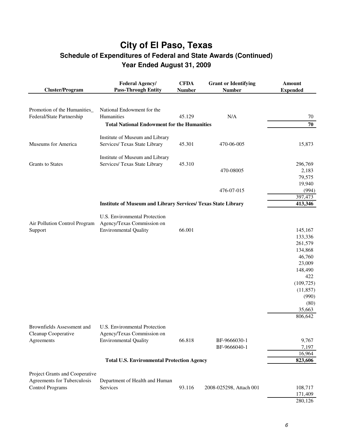| <b>Cluster/Program</b>         | <b>Federal Agency/</b><br><b>Pass-Through Entity</b>                 | <b>CFDA</b><br><b>Number</b> | <b>Grant or Identifying</b><br><b>Number</b> | <b>Amount</b><br><b>Expended</b> |
|--------------------------------|----------------------------------------------------------------------|------------------------------|----------------------------------------------|----------------------------------|
|                                |                                                                      |                              |                                              |                                  |
| Promotion of the Humanities_   | National Endowment for the                                           |                              |                                              |                                  |
| Federal/State Partnership      | Humanities                                                           | 45.129                       | N/A                                          | 70                               |
|                                | <b>Total National Endowment for the Humanities</b>                   |                              |                                              | 70                               |
|                                |                                                                      |                              |                                              |                                  |
|                                | Institute of Museum and Library                                      |                              |                                              |                                  |
| Museums for America            | Services/ Texas State Library                                        | 45.301                       | 470-06-005                                   | 15,873                           |
|                                | Institute of Museum and Library                                      |                              |                                              |                                  |
| <b>Grants</b> to States        | Services/ Texas State Library                                        | 45.310                       |                                              | 296,769                          |
|                                |                                                                      |                              | 470-08005                                    | 2,183                            |
|                                |                                                                      |                              |                                              | 79,575                           |
|                                |                                                                      |                              |                                              | 19,940                           |
|                                |                                                                      |                              | 476-07-015                                   | (994)                            |
|                                |                                                                      |                              |                                              | 397,473                          |
|                                | <b>Institute of Museum and Library Services/ Texas State Library</b> |                              |                                              | 413,346                          |
|                                | U.S. Environmental Protection                                        |                              |                                              |                                  |
| Air Pollution Control Program  | Agency/Texas Commission on                                           |                              |                                              |                                  |
| Support                        | <b>Environmental Quality</b>                                         | 66.001                       |                                              | 145,167                          |
|                                |                                                                      |                              |                                              | 133,336                          |
|                                |                                                                      |                              |                                              | 261,579                          |
|                                |                                                                      |                              |                                              | 134,868                          |
|                                |                                                                      |                              |                                              | 46,760                           |
|                                |                                                                      |                              |                                              | 23,009                           |
|                                |                                                                      |                              |                                              | 148,490                          |
|                                |                                                                      |                              |                                              | 422                              |
|                                |                                                                      |                              |                                              |                                  |
|                                |                                                                      |                              |                                              | (109, 725)                       |
|                                |                                                                      |                              |                                              | (11, 857)                        |
|                                |                                                                      |                              |                                              | (990)                            |
|                                |                                                                      |                              |                                              | (80)                             |
|                                |                                                                      |                              |                                              | 35,663                           |
|                                |                                                                      |                              |                                              | 806,642                          |
| Brownfields Assessment and     | U.S. Environmental Protection                                        |                              |                                              |                                  |
| Cleanup Cooperative            | Agency/Texas Commission on                                           |                              |                                              |                                  |
| Agreements                     | <b>Environmental Quality</b>                                         | 66.818                       | BF-9666030-1                                 | 9,767                            |
|                                |                                                                      |                              | BF-9666040-1                                 | 7,197                            |
|                                |                                                                      |                              |                                              | 16,964                           |
|                                | <b>Total U.S. Environmental Protection Agency</b>                    |                              |                                              | 823,606                          |
|                                |                                                                      |                              |                                              |                                  |
| Project Grants and Cooperative |                                                                      |                              |                                              |                                  |
| Agreements for Tuberculosis    | Department of Health and Human                                       |                              |                                              |                                  |
| <b>Control Programs</b>        | Services                                                             | 93.116                       | 2008-025298, Attach 001                      | 108,717                          |
|                                |                                                                      |                              |                                              | 171,409                          |
|                                |                                                                      |                              |                                              | 280,126                          |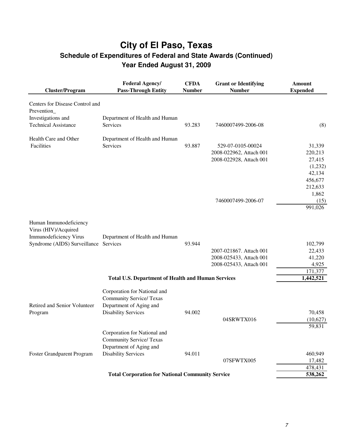| <b>Cluster/Program</b>            | <b>Federal Agency/</b><br><b>Pass-Through Entity</b>      | <b>CFDA</b><br><b>Number</b> | <b>Grant or Identifying</b><br><b>Number</b> | <b>Amount</b><br><b>Expended</b> |
|-----------------------------------|-----------------------------------------------------------|------------------------------|----------------------------------------------|----------------------------------|
| Centers for Disease Control and   |                                                           |                              |                                              |                                  |
| Prevention_                       |                                                           |                              |                                              |                                  |
| Investigations and                | Department of Health and Human                            |                              |                                              |                                  |
| <b>Technical Assistance</b>       | Services                                                  | 93.283                       | 7460007499-2006-08                           | (8)                              |
| Health Care and Other             | Department of Health and Human                            |                              |                                              |                                  |
| Facilities                        | Services                                                  | 93.887                       | 529-07-0105-00024                            | 31,339                           |
|                                   |                                                           |                              | 2008-022962, Attach 001                      | 220,213                          |
|                                   |                                                           |                              | 2008-022928, Attach 001                      | 27,415                           |
|                                   |                                                           |                              |                                              | (1,232)                          |
|                                   |                                                           |                              |                                              | 42,134                           |
|                                   |                                                           |                              |                                              | 456,677                          |
|                                   |                                                           |                              |                                              | 212,633                          |
|                                   |                                                           |                              |                                              | 1,862                            |
|                                   |                                                           |                              | 7460007499-2006-07                           | (15)                             |
|                                   |                                                           |                              |                                              | 991,026                          |
| Human Immunodeficiency            |                                                           |                              |                                              |                                  |
| Virus (HIV)/Acquired              |                                                           |                              |                                              |                                  |
| Immunodeficiency Virus            | Department of Health and Human                            |                              |                                              |                                  |
| Syndrome (AIDS) Surveillance      | Services                                                  | 93.944                       |                                              | 102,799                          |
|                                   |                                                           |                              | 2007-021867. Attach 001                      | 22,433                           |
|                                   |                                                           |                              | 2008-025433, Attach 001                      | 41,220                           |
|                                   |                                                           |                              | 2008-025433, Attach 001                      | 4,925                            |
|                                   |                                                           |                              |                                              | 171,377                          |
|                                   | <b>Total U.S. Department of Health and Human Services</b> |                              |                                              | 1,442,521                        |
|                                   | Corporation for National and                              |                              |                                              |                                  |
|                                   | <b>Community Service/ Texas</b>                           |                              |                                              |                                  |
| Retired and Senior Volunteer      | Department of Aging and                                   |                              |                                              |                                  |
| Program                           | <b>Disability Services</b>                                | 94.002                       |                                              | 70,458                           |
|                                   |                                                           |                              | 04SRWTX016                                   | (10,627)                         |
|                                   |                                                           |                              |                                              | 59,831                           |
|                                   | Corporation for National and                              |                              |                                              |                                  |
|                                   | <b>Community Service/ Texas</b>                           |                              |                                              |                                  |
|                                   | Department of Aging and                                   |                              |                                              |                                  |
| <b>Foster Grandparent Program</b> | <b>Disability Services</b>                                | 94.011                       |                                              | 460,949                          |
|                                   |                                                           |                              | 07SFWTX005                                   | 17,482                           |
|                                   |                                                           |                              |                                              | 478,431                          |
|                                   | <b>Total Corporation for National Community Service</b>   |                              |                                              | 538,262                          |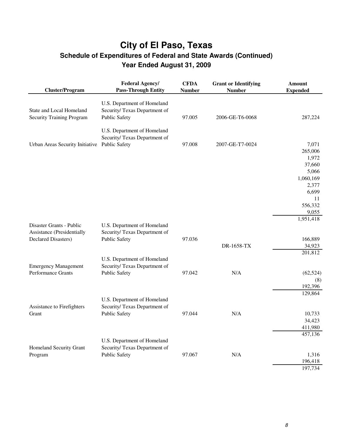| <b>Cluster/Program</b>           | <b>Federal Agency/</b><br><b>Pass-Through Entity</b> | <b>CFDA</b><br><b>Number</b> | <b>Grant or Identifying</b><br><b>Number</b> | <b>Amount</b><br><b>Expended</b> |
|----------------------------------|------------------------------------------------------|------------------------------|----------------------------------------------|----------------------------------|
|                                  | U.S. Department of Homeland                          |                              |                                              |                                  |
| State and Local Homeland         | Security/ Texas Department of                        |                              |                                              |                                  |
| <b>Security Training Program</b> | <b>Public Safety</b>                                 | 97.005                       | 2006-GE-T6-0068                              | 287,224                          |
|                                  | U.S. Department of Homeland                          |                              |                                              |                                  |
|                                  | Security/Texas Department of                         |                              |                                              |                                  |
| Urban Areas Security Initiative  | <b>Public Safety</b>                                 | 97.008                       | 2007-GE-T7-0024                              | 7,071                            |
|                                  |                                                      |                              |                                              | 265,006                          |
|                                  |                                                      |                              |                                              | 1,972                            |
|                                  |                                                      |                              |                                              | 37,660                           |
|                                  |                                                      |                              |                                              | 5,066                            |
|                                  |                                                      |                              |                                              | 1,060,169                        |
|                                  |                                                      |                              |                                              | 2,377                            |
|                                  |                                                      |                              |                                              | 6,699                            |
|                                  |                                                      |                              |                                              | 11                               |
|                                  |                                                      |                              |                                              | 556,332                          |
|                                  |                                                      |                              |                                              | 9,055<br>1,951,418               |
| Disaster Grants - Public         | U.S. Department of Homeland                          |                              |                                              |                                  |
| Assistance (Presidentially       | Security/ Texas Department of                        |                              |                                              |                                  |
| <b>Declared Disasters)</b>       | <b>Public Safety</b>                                 | 97.036                       |                                              | 166,889                          |
|                                  |                                                      |                              | DR-1658-TX                                   | 34,923                           |
|                                  |                                                      |                              |                                              | 201,812                          |
|                                  | U.S. Department of Homeland                          |                              |                                              |                                  |
| <b>Emergency Management</b>      | Security/ Texas Department of                        |                              |                                              |                                  |
| Performance Grants               | <b>Public Safety</b>                                 | 97.042                       | N/A                                          | (62, 524)                        |
|                                  |                                                      |                              |                                              | (8)                              |
|                                  |                                                      |                              |                                              | 192,396                          |
|                                  |                                                      |                              |                                              | 129,864                          |
|                                  | U.S. Department of Homeland                          |                              |                                              |                                  |
| Assistance to Firefighters       | Security/ Texas Department of                        |                              |                                              |                                  |
| Grant                            | <b>Public Safety</b>                                 | 97.044                       | N/A                                          | 10,733                           |
|                                  |                                                      |                              |                                              | 34,423                           |
|                                  |                                                      |                              |                                              | 411,980                          |
|                                  |                                                      |                              |                                              | 457,136                          |
|                                  | U.S. Department of Homeland                          |                              |                                              |                                  |
| Homeland Security Grant          | Security/ Texas Department of                        |                              |                                              |                                  |
| Program                          | <b>Public Safety</b>                                 | 97.067                       | N/A                                          | 1,316                            |
|                                  |                                                      |                              |                                              | 196,418<br>197,734               |
|                                  |                                                      |                              |                                              |                                  |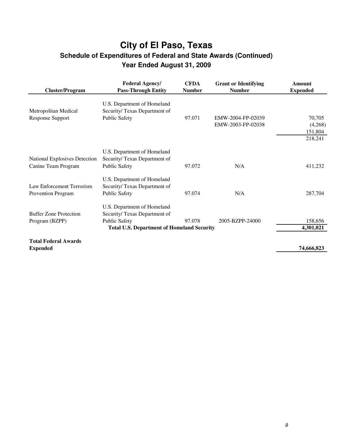| <b>Cluster/Program</b>                                      | <b>Federal Agency/</b><br><b>Pass-Through Entity</b>                                                                                     | <b>CFDA</b><br><b>Number</b> | <b>Grant or Identifying</b><br><b>Number</b> | Amount<br><b>Expended</b>               |
|-------------------------------------------------------------|------------------------------------------------------------------------------------------------------------------------------------------|------------------------------|----------------------------------------------|-----------------------------------------|
| Metropolitan Medical<br>Response Support                    | U.S. Department of Homeland<br>Security/Texas Department of<br><b>Public Safety</b>                                                      | 97.071                       | EMW-2004-FP-02039<br>EMW-2003-FP-02038       | 70,705<br>(4,268)<br>151,804<br>218,241 |
| <b>National Explosives Detection</b><br>Canine Team Program | U.S. Department of Homeland<br>Security/Texas Department of<br><b>Public Safety</b>                                                      | 97.072                       | N/A                                          | 411,232                                 |
| Law Enforcement Terrorism<br><b>Prevention Program</b>      | U.S. Department of Homeland<br>Security/Texas Department of<br><b>Public Safety</b>                                                      | 97.074                       | N/A                                          | 287,704                                 |
| <b>Buffer Zone Protection</b><br>Program (BZPP)             | U.S. Department of Homeland<br>Security/Texas Department of<br><b>Public Safety</b><br><b>Total U.S. Department of Homeland Security</b> | 97.078                       | 2005-BZPP-24000                              | 158,656<br>4,301,021                    |
| <b>Total Federal Awards</b><br><b>Expended</b>              |                                                                                                                                          |                              |                                              | 74,666,823                              |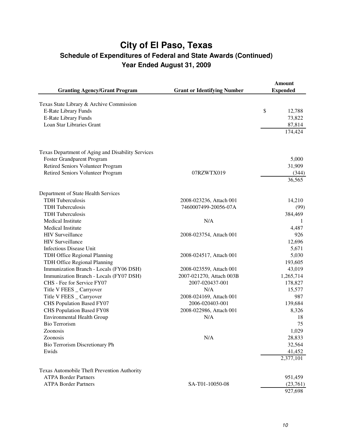|                                                   |                                    | <b>Amount</b>   |
|---------------------------------------------------|------------------------------------|-----------------|
| <b>Granting Agency/Grant Program</b>              | <b>Grant or Identifying Number</b> | <b>Expended</b> |
| Texas State Library & Archive Commission          |                                    |                 |
| E-Rate Library Funds                              |                                    | \$<br>12,788    |
| <b>E-Rate Library Funds</b>                       |                                    | 73,822          |
| Loan Star Libraries Grant                         |                                    | 87,814          |
|                                                   |                                    | 174,424         |
|                                                   |                                    |                 |
| Texas Department of Aging and Disability Services |                                    |                 |
| Foster Grandparent Program                        |                                    | 5,000           |
| Retired Seniors Volunteer Program                 |                                    | 31,909          |
| Retired Seniors Volunteer Program                 | 07RZWTX019                         | (344)           |
|                                                   |                                    | 36,565          |
| Department of State Health Services               |                                    |                 |
| <b>TDH</b> Tuberculosis                           | 2008-023236, Attach 001            | 14,210          |
| <b>TDH</b> Tuberculosis                           | 7460007499-20056-07A               | (99)            |
| <b>TDH</b> Tuberculosis                           |                                    | 384,469         |
| Medical Institute                                 | N/A                                | -1              |
| Medical Institute                                 |                                    | 4,487           |
| <b>HIV Surveillance</b>                           | 2008-023754, Attach 001            | 926             |
| <b>HIV Surveillance</b>                           |                                    | 12,696          |
| <b>Infectious Disease Unit</b>                    |                                    | 5,671           |
| TDH Office Regional Planning                      | 2008-024517, Attach 001            | 5,030           |
| TDH Office Regional Planning                      |                                    | 193,605         |
| Immunization Branch - Locals (FY06 DSH)           | 2008-023559, Attach 001            | 43,019          |
| Immunization Branch - Locals (FY07 DSH)           | 2007-021270, Attach 003B           | 1,265,714       |
| CHS - Fee for Service FY07                        | 2007-020437-001                    | 178,827         |
| Title V FEES _ Carryover                          | N/A                                | 15,577          |
| Title V FEES _ Carryover                          | 2008-024169, Attach 001            | 987             |
| CHS Population Based FY07                         | 2006-020403-001                    | 139,684         |
| <b>CHS Population Based FY08</b>                  | 2008-022986, Attach 001            | 8,326           |
| <b>Environmental Health Group</b>                 | N/A                                | 18              |
| <b>Bio Terrorism</b>                              |                                    | 75              |
| Zoonosis                                          |                                    | 1,029           |
| Zoonosis                                          | N/A                                | 28,833          |
| Bio Terrorism Discretionary Ph                    |                                    | 32,564          |
| Ewids                                             |                                    | 41,452          |
|                                                   |                                    | 2,377,101       |
| Texas Automobile Theft Prevention Authority       |                                    |                 |
| <b>ATPA Border Partners</b>                       |                                    | 951,459         |
| <b>ATPA Border Partners</b>                       | SA-T01-10050-08                    | (23,761)        |
|                                                   |                                    | 927,698         |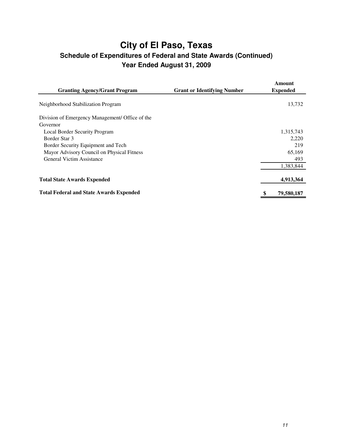| <b>Granting Agency/Grant Program</b>            | <b>Grant or Identifying Number</b> | Amount<br><b>Expended</b> |
|-------------------------------------------------|------------------------------------|---------------------------|
| Neighborhood Stabilization Program              |                                    | 13,732                    |
|                                                 |                                    |                           |
| Division of Emergency Management/ Office of the |                                    |                           |
| Governor                                        |                                    |                           |
| Local Border Security Program                   |                                    | 1,315,743                 |
| Border Star 3                                   |                                    | 2,220                     |
| Border Security Equipment and Tech              |                                    | 219                       |
| Mayor Advisory Council on Physical Fitness      |                                    | 65,169                    |
| General Victim Assistance                       |                                    | 493                       |
|                                                 |                                    | 1,383,844                 |
|                                                 |                                    |                           |
| <b>Total State Awards Expended</b>              |                                    | 4,913,364                 |
| <b>Total Federal and State Awards Expended</b>  |                                    | 79,580,187                |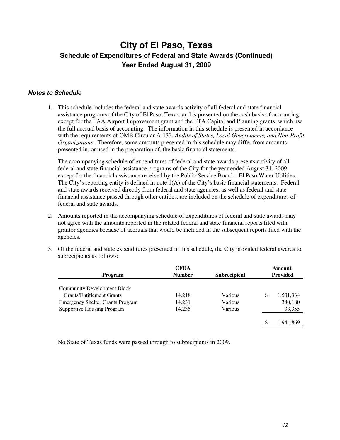#### **Notes to Schedule**

1. This schedule includes the federal and state awards activity of all federal and state financial assistance programs of the City of El Paso, Texas, and is presented on the cash basis of accounting, except for the FAA Airport Improvement grant and the FTA Capital and Planning grants, which use the full accrual basis of accounting. The information in this schedule is presented in accordance with the requirements of OMB Circular A-133, *Audits of States, Local Governments, and Non-Profit Organizations*. Therefore, some amounts presented in this schedule may differ from amounts presented in, or used in the preparation of, the basic financial statements.

The accompanying schedule of expenditures of federal and state awards presents activity of all federal and state financial assistance programs of the City for the year ended August 31, 2009, except for the financial assistance received by the Public Service Board – El Paso Water Utilities. The City's reporting entity is defined in note 1(A) of the City's basic financial statements. Federal and state awards received directly from federal and state agencies, as well as federal and state financial assistance passed through other entities, are included on the schedule of expenditures of federal and state awards.

- 2. Amounts reported in the accompanying schedule of expenditures of federal and state awards may not agree with the amounts reported in the related federal and state financial reports filed with grantor agencies because of accruals that would be included in the subsequent reports filed with the agencies.
- 3. Of the federal and state expenditures presented in this schedule, the City provided federal awards to subrecipients as follows:

|                                         | <b>CFDA</b>   |                     | Amount          |
|-----------------------------------------|---------------|---------------------|-----------------|
| Program                                 | <b>Number</b> | <b>Subrecipient</b> | <b>Provided</b> |
|                                         |               |                     |                 |
| <b>Community Development Block</b>      |               |                     |                 |
| <b>Grants/Entitlement Grants</b>        | 14.218        | Various             | \$<br>1,531,334 |
| <b>Emergency Shelter Grants Program</b> | 14.231        | Various             | 380,180         |
| <b>Supportive Housing Program</b>       | 14.235        | Various             | 33,355          |
|                                         |               |                     |                 |
|                                         |               |                     | 1,944,869       |
|                                         |               |                     |                 |

No State of Texas funds were passed through to subrecipients in 2009.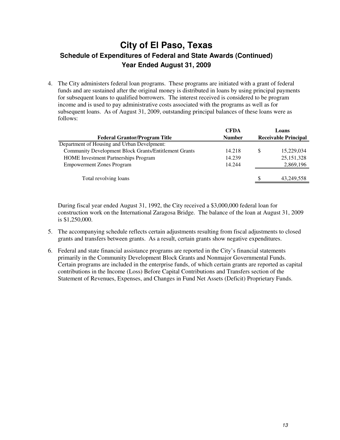4. The City administers federal loan programs. These programs are initiated with a grant of federal funds and are sustained after the original money is distributed in loans by using principal payments for subsequent loans to qualified borrowers. The interest received is considered to be program income and is used to pay administrative costs associated with the programs as well as for subsequent loans. As of August 31, 2009, outstanding principal balances of these loans were as follows:

| <b>CFDA</b>   |    | Loans                       |
|---------------|----|-----------------------------|
| <b>Number</b> |    | <b>Receivable Principal</b> |
|               |    |                             |
| 14.218        | \$ | 15,229,034                  |
| 14.239        |    | 25, 151, 328                |
| 14.244        |    | 2,869,196                   |
|               |    |                             |
|               | S  | 43,249,558                  |
|               |    |                             |

During fiscal year ended August 31, 1992, the City received a \$3,000,000 federal loan for construction work on the International Zaragosa Bridge. The balance of the loan at August 31, 2009 is \$1,250,000.

- 5. The accompanying schedule reflects certain adjustments resulting from fiscal adjustments to closed grants and transfers between grants. As a result, certain grants show negative expenditures.
- 6. Federal and state financial assistance programs are reported in the City's financial statements primarily in the Community Development Block Grants and Nonmajor Governmental Funds. Certain programs are included in the enterprise funds, of which certain grants are reported as capital contributions in the Income (Loss) Before Capital Contributions and Transfers section of the Statement of Revenues, Expenses, and Changes in Fund Net Assets (Deficit) Proprietary Funds.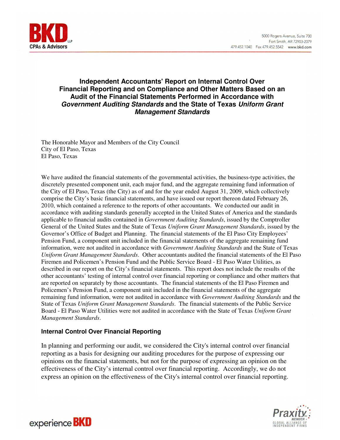

### **Independent Accountants' Report on Internal Control Over Financial Reporting and on Compliance and Other Matters Based on an Audit of the Financial Statements Performed in Accordance with Government Auditing Standards and the State of Texas Uniform Grant Management Standards**

The Honorable Mayor and Members of the City Council City of El Paso, Texas El Paso, Texas

We have audited the financial statements of the governmental activities, the business-type activities, the discretely presented component unit, each major fund, and the aggregate remaining fund information of the City of El Paso, Texas (the City) as of and for the year ended August 31, 2009, which collectively comprise the City's basic financial statements, and have issued our report thereon dated February 26, 2010, which contained a reference to the reports of other accountants. We conducted our audit in accordance with auditing standards generally accepted in the United States of America and the standards applicable to financial audits contained in *Government Auditing Standards*, issued by the Comptroller General of the United States and the State of Texas *Uniform Grant Management Standards*, issued by the Governor's Office of Budget and Planning. The financial statements of the El Paso City Employees' Pension Fund, a component unit included in the financial statements of the aggregate remaining fund information, were not audited in accordance with *Government Auditing Standards* and the State of Texas *Uniform Grant Management Standards*. Other accountants audited the financial statements of the El Paso Firemen and Policemen's Pension Fund and the Public Service Board - El Paso Water Utilities, as described in our report on the City's financial statements. This report does not include the results of the other accountants' testing of internal control over financial reporting or compliance and other matters that are reported on separately by those accountants. The financial statements of the El Paso Firemen and Policemen's Pension Fund, a component unit included in the financial statements of the aggregate remaining fund information, were not audited in accordance with *Government Auditing Standards* and the State of Texas *Uniform Grant Management Standards*. The financial statements of the Public Service Board - El Paso Water Utilities were not audited in accordance with the State of Texas *Uniform Grant Management Standards*.

#### **Internal Control Over Financial Reporting**

In planning and performing our audit, we considered the City's internal control over financial reporting as a basis for designing our auditing procedures for the purpose of expressing our opinions on the financial statements, but not for the purpose of expressing an opinion on the effectiveness of the City's internal control over financial reporting. Accordingly, we do not express an opinion on the effectiveness of the City's internal control over financial reporting.



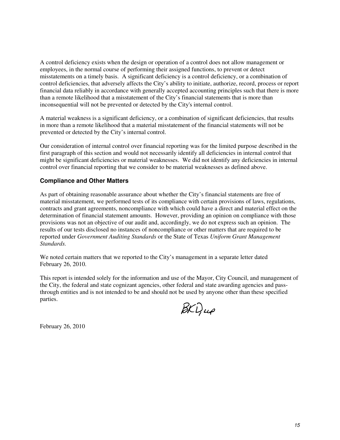A control deficiency exists when the design or operation of a control does not allow management or employees, in the normal course of performing their assigned functions, to prevent or detect misstatements on a timely basis. A significant deficiency is a control deficiency, or a combination of control deficiencies, that adversely affects the City's ability to initiate, authorize, record, process or report financial data reliably in accordance with generally accepted accounting principles such that there is more than a remote likelihood that a misstatement of the City's financial statements that is more than inconsequential will not be prevented or detected by the City's internal control.

A material weakness is a significant deficiency, or a combination of significant deficiencies, that results in more than a remote likelihood that a material misstatement of the financial statements will not be prevented or detected by the City's internal control.

Our consideration of internal control over financial reporting was for the limited purpose described in the first paragraph of this section and would not necessarily identify all deficiencies in internal control that might be significant deficiencies or material weaknesses. We did not identify any deficiencies in internal control over financial reporting that we consider to be material weaknesses as defined above.

### **Compliance and Other Matters**

As part of obtaining reasonable assurance about whether the City's financial statements are free of material misstatement, we performed tests of its compliance with certain provisions of laws, regulations, contracts and grant agreements, noncompliance with which could have a direct and material effect on the determination of financial statement amounts. However, providing an opinion on compliance with those provisions was not an objective of our audit and, accordingly, we do not express such an opinion. The results of our tests disclosed no instances of noncompliance or other matters that are required to be reported under *Government Auditing Standards* or the State of Texas *Uniform Grant Management Standards.*

We noted certain matters that we reported to the City's management in a separate letter dated February 26, 2010.

This report is intended solely for the information and use of the Mayor, City Council, and management of the City, the federal and state cognizant agencies, other federal and state awarding agencies and passthrough entities and is not intended to be and should not be used by anyone other than these specified parties.

 $\cancel{\beta}$ KD, up

February 26, 2010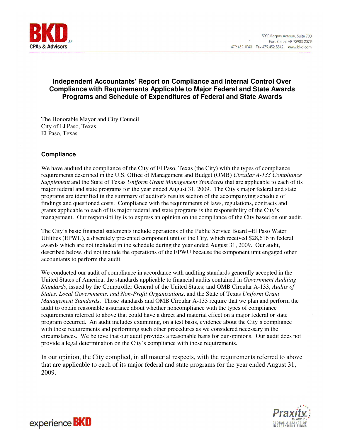

### **Independent Accountants' Report on Compliance and Internal Control Over Compliance with Requirements Applicable to Major Federal and State Awards Programs and Schedule of Expenditures of Federal and State Awards**

The Honorable Mayor and City Council City of El Paso, Texas El Paso, Texas

### **Compliance**

We have audited the compliance of the City of El Paso, Texas (the City) with the types of compliance requirements described in the U.S. Office of Management and Budget (OMB) *Circular A-133 Compliance Supplement* and the State of Texas *Uniform Grant Management Standards* that are applicable to each of its major federal and state programs for the year ended August 31, 2009. The City's major federal and state programs are identified in the summary of auditor's results section of the accompanying schedule of findings and questioned costs. Compliance with the requirements of laws, regulations, contracts and grants applicable to each of its major federal and state programs is the responsibility of the City's management. Our responsibility is to express an opinion on the compliance of the City based on our audit.

The City's basic financial statements include operations of the Public Service Board –El Paso Water Utilities (EPWU), a discretely presented component unit of the City, which received \$28,616 in federal awards which are not included in the schedule during the year ended August 31, 2009. Our audit, described below, did not include the operations of the EPWU because the component unit engaged other accountants to perform the audit.

We conducted our audit of compliance in accordance with auditing standards generally accepted in the United States of America; the standards applicable to financial audits contained in *Government Auditing Standards*, issued by the Comptroller General of the United States; and OMB Circular A-133, *Audits of States, Local Governments, and Non-Profit Organizations*, and the State of Texas *Uniform Grant Management Standards*. Those standards and OMB Circular A-133 require that we plan and perform the audit to obtain reasonable assurance about whether noncompliance with the types of compliance requirements referred to above that could have a direct and material effect on a major federal or state program occurred. An audit includes examining, on a test basis, evidence about the City's compliance with those requirements and performing such other procedures as we considered necessary in the circumstances. We believe that our audit provides a reasonable basis for our opinions. Our audit does not provide a legal determination on the City's compliance with those requirements.

In our opinion, the City complied, in all material respects, with the requirements referred to above that are applicable to each of its major federal and state programs for the year ended August 31, 2009.



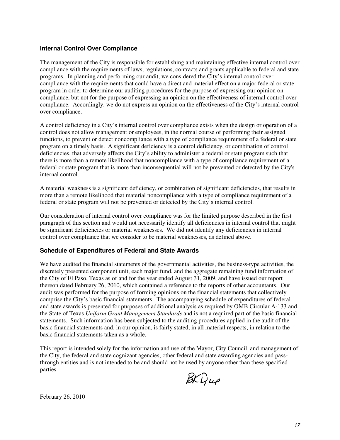#### **Internal Control Over Compliance**

The management of the City is responsible for establishing and maintaining effective internal control over compliance with the requirements of laws, regulations, contracts and grants applicable to federal and state programs. In planning and performing our audit, we considered the City's internal control over compliance with the requirements that could have a direct and material effect on a major federal or state program in order to determine our auditing procedures for the purpose of expressing our opinion on compliance, but not for the purpose of expressing an opinion on the effectiveness of internal control over compliance. Accordingly, we do not express an opinion on the effectiveness of the City's internal control over compliance.

A control deficiency in a City's internal control over compliance exists when the design or operation of a control does not allow management or employees, in the normal course of performing their assigned functions, to prevent or detect noncompliance with a type of compliance requirement of a federal or state program on a timely basis. A significant deficiency is a control deficiency, or combination of control deficiencies, that adversely affects the City's ability to administer a federal or state program such that there is more than a remote likelihood that noncompliance with a type of compliance requirement of a federal or state program that is more than inconsequential will not be prevented or detected by the City's internal control.

A material weakness is a significant deficiency, or combination of significant deficiencies, that results in more than a remote likelihood that material noncompliance with a type of compliance requirement of a federal or state program will not be prevented or detected by the City's internal control.

Our consideration of internal control over compliance was for the limited purpose described in the first paragraph of this section and would not necessarily identify all deficiencies in internal control that might be significant deficiencies or material weaknesses. We did not identify any deficiencies in internal control over compliance that we consider to be material weaknesses, as defined above.

#### **Schedule of Expenditures of Federal and State Awards**

We have audited the financial statements of the governmental activities, the business-type activities, the discretely presented component unit, each major fund, and the aggregate remaining fund information of the City of El Paso, Texas as of and for the year ended August 31, 2009, and have issued our report thereon dated February 26, 2010, which contained a reference to the reports of other accountants. Our audit was performed for the purpose of forming opinions on the financial statements that collectively comprise the City's basic financial statements. The accompanying schedule of expenditures of federal and state awards is presented for purposes of additional analysis as required by OMB Circular A-133 and the State of Texas *Uniform Grant Management Standards* and is not a required part of the basic financial statements. Such information has been subjected to the auditing procedures applied in the audit of the basic financial statements and, in our opinion, is fairly stated, in all material respects, in relation to the basic financial statements taken as a whole.

This report is intended solely for the information and use of the Mayor, City Council, and management of the City, the federal and state cognizant agencies, other federal and state awarding agencies and passthrough entities and is not intended to be and should not be used by anyone other than these specified parties.

 $\cancel{B}K\cancel{Q}u\phi$ 

February 26, 2010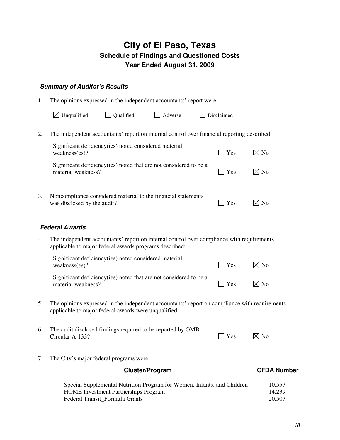### **City of El Paso, Texas Schedule of Findings and Questioned Costs Year Ended August 31, 2009**

### **Summary of Auditor's Results**

1. The opinions expressed in the independent accountants' report were:

| $\boxtimes$ Unqualified | $\Box$ Qualified | $\Box$ Adverse | $\Box$ Disclaimed |
|-------------------------|------------------|----------------|-------------------|
|-------------------------|------------------|----------------|-------------------|

2. The independent accountants' report on internal control over financial reporting described:

| Significant deficiency (ies) noted considered material<br>weakness(es)?                      | $\perp$ Yes | ⊠ No           |
|----------------------------------------------------------------------------------------------|-------------|----------------|
| Significant deficiency (ies) noted that are not considered to be a<br>material weakness?     | $\perp$ Yes | $\boxtimes$ No |
| Noncompliance considered material to the financial statements<br>was disclosed by the audit? | Yes         |                |

### **Federal Awards**

4. The independent accountants' report on internal control over compliance with requirements applicable to major federal awards programs described:

| Significant deficiency (ies) noted considered material<br>weakness(es)?                  | $\blacksquare$ Yes | $\boxtimes$ No |
|------------------------------------------------------------------------------------------|--------------------|----------------|
| Significant deficiency (ies) noted that are not considered to be a<br>material weakness? | $\Box$ Yes         | $\boxtimes$ No |

- 5. The opinions expressed in the independent accountants' report on compliance with requirements applicable to major federal awards were unqualified.
- 6. The audit disclosed findings required to be reported by OMB Circular A-133?  $\Box$  Yes  $\Box$  No
	-

7. The City's major federal programs were:

| <b>Cluster/Program</b>                                                  | <b>CFDA Number</b> |
|-------------------------------------------------------------------------|--------------------|
|                                                                         |                    |
| Special Supplemental Nutrition Program for Women, Infants, and Children | 10.557             |
| <b>HOME</b> Investment Partnerships Program                             | 14.239             |
| Federal Transit Formula Grants                                          | 20.507             |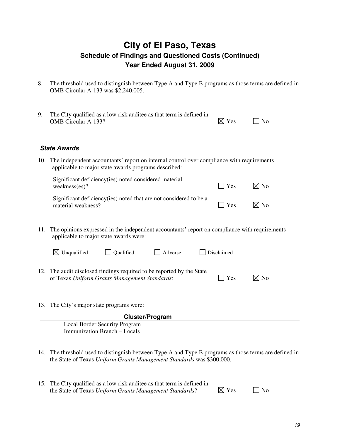### **City of El Paso, Texas Schedule of Findings and Questioned Costs (Continued) Year Ended August 31, 2009**

8. The threshold used to distinguish between Type A and Type B programs as those terms are defined in OMB Circular A-133 was \$2,240,005.

| 9. | The City qualified as a low-risk auditee as that term is defined in<br><b>OMB</b> Circular A-133?                                                     | $\boxtimes$ Yes | N <sub>0</sub> |
|----|-------------------------------------------------------------------------------------------------------------------------------------------------------|-----------------|----------------|
|    | <b>State Awards</b>                                                                                                                                   |                 |                |
|    | 10. The independent accountants' report on internal control over compliance with requirements<br>applicable to major state awards programs described: |                 |                |
|    | Significant deficiency (ies) noted considered material<br>weakness(es)?                                                                               | Yes             | $\boxtimes$ No |
|    | Significant deficiency (ies) noted that are not considered to be a<br>material weakness?                                                              | Yes             | ⊠ No           |
|    | 11. The opinions expressed in the independent accountants' report on compliance with requirements<br>applicable to major state awards were:           |                 |                |

| $\boxtimes$ Unqualified                                               | <b>Oualified</b> | Adverse | Disclaimed |  |
|-----------------------------------------------------------------------|------------------|---------|------------|--|
|                                                                       |                  |         |            |  |
| 12. The audit disclosed findings required to be reported by the State |                  |         |            |  |

of Texas *Uniform Grants Management Standards*:  $\Box$  Yes  $\Box$  No

13. The City's major state programs were:

| <b>Cluster/Program</b>               |  |
|--------------------------------------|--|
| <b>Local Border Security Program</b> |  |
| Immunization Branch – Locals         |  |
|                                      |  |

14. The threshold used to distinguish between Type A and Type B programs as those terms are defined in the State of Texas *Uniform Grants Management Standards* was \$300,000.

| 15. The City qualified as a low-risk auditee as that term is defined in |                 |           |
|-------------------------------------------------------------------------|-----------------|-----------|
| the State of Texas Uniform Grants Management Standards?                 | $\boxtimes$ Yes | $\Box$ No |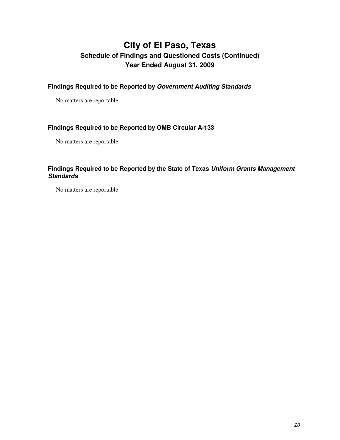### **City of El Paso, Texas Schedule of Findings and Questioned Costs (Continued) Year Ended August 31, 2009**

**Findings Required to be Reported by Government Auditing Standards** 

No matters are reportable.

### **Findings Required to be Reported by OMB Circular A-133**

No matters are reportable.

### **Findings Required to be Reported by the State of Texas Uniform Grants Management Standards**

No matters are reportable.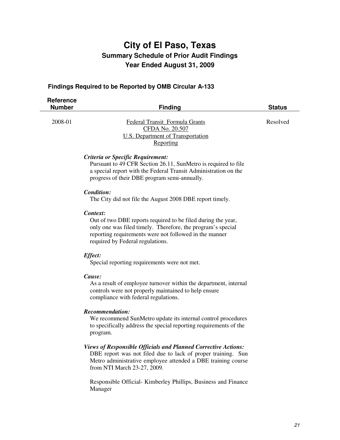### **Findings Required to be Reported by OMB Circular A-133**

| <b>Reference</b><br><b>Number</b> | <b>Finding</b>                                                                                                                                                                                                         | <b>Status</b> |
|-----------------------------------|------------------------------------------------------------------------------------------------------------------------------------------------------------------------------------------------------------------------|---------------|
| 2008-01                           | Federal Transit Formula Grants<br>CFDA No. 20.507<br>U.S. Department of Transportation<br>Reporting                                                                                                                    | Resolved      |
|                                   | Criteria or Specific Requirement:<br>Pursuant to 49 CFR Section 26.11, SunMetro is required to file<br>a special report with the Federal Transit Administration on the<br>progress of their DBE program semi-annually. |               |
|                                   | Condition:<br>The City did not file the August 2008 DBE report timely.                                                                                                                                                 |               |
|                                   | Context:<br>Out of two DBE reports required to be filed during the year,                                                                                                                                               |               |

only one was filed timely. Therefore, the program's special reporting requirements were not followed in the manner required by Federal regulations.

#### *Effect:*

Special reporting requirements were not met.

#### *Cause:*

 As a result of employee turnover within the department, internal controls were not properly maintained to help ensure compliance with federal regulations.

#### *Recommendation:*

 We recommend SunMetro update its internal control procedures to specifically address the special reporting requirements of the program.

*Views of Responsible Officials and Planned Corrective Actions:*  DBE report was not filed due to lack of proper training. Sun Metro administrative employee attended a DBE training course

from NTI March 23-27, 2009.

Responsible Official- Kimberley Phillips, Business and Finance Manager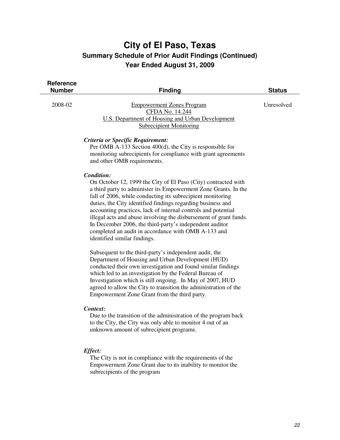| <b>Reference</b><br><b>Number</b> | <b>Finding</b>                                                                                                                                                                                                                                                                                                                                                                                                                                                                                                                                                       | <b>Status</b> |
|-----------------------------------|----------------------------------------------------------------------------------------------------------------------------------------------------------------------------------------------------------------------------------------------------------------------------------------------------------------------------------------------------------------------------------------------------------------------------------------------------------------------------------------------------------------------------------------------------------------------|---------------|
| 2008-02                           | <b>Empowerment Zones Program</b><br>CFDA No. 14.244<br><b>U.S. Department of Housing and Urban Development</b><br><b>Subrecipient Monitoring</b>                                                                                                                                                                                                                                                                                                                                                                                                                     | Unresolved    |
|                                   | Criteria or Specific Requirement:<br>Per OMB A-133 Section 400(d), the City is responsible for<br>monitoring subrecipients for compliance with grant agreements<br>and other OMB requirements.                                                                                                                                                                                                                                                                                                                                                                       |               |
|                                   | Condition:<br>On October 12, 1999 the City of El Paso (City) contracted with<br>a third party to administer its Empowerment Zone Grants. In the<br>fall of 2006, while conducting its subrecipient monitoring<br>duties, the City identified findings regarding business and<br>accounting practices, lack of internal controls and potential<br>illegal acts and abuse involving the disbursement of grant funds.<br>In December 2006, the third-party's independent auditor<br>completed an audit in accordance with OMB A-133 and<br>identified similar findings. |               |
|                                   | Subsequent to the third-party's independent audit, the<br>Department of Housing and Urban Development (HUD)<br>conducted their own investigation and found similar findings<br>which led to an investigation by the Federal Bureau of<br>Investigation which is still ongoing. In May of 2007, HUD<br>agreed to allow the City to transition the administration of the<br>Empowerment Zone Grant from the third party.                                                                                                                                               |               |
|                                   | Context:<br>Due to the transition of the administration of the program back<br>to the City, the City was only able to monitor 4 out of an<br>unknown amount of subrecipient programs.                                                                                                                                                                                                                                                                                                                                                                                |               |
|                                   | Effect:<br>The City is not in compliance with the requirements of the<br>Empowerment Zone Grant due to its inability to monitor the                                                                                                                                                                                                                                                                                                                                                                                                                                  |               |

subrecipients of the program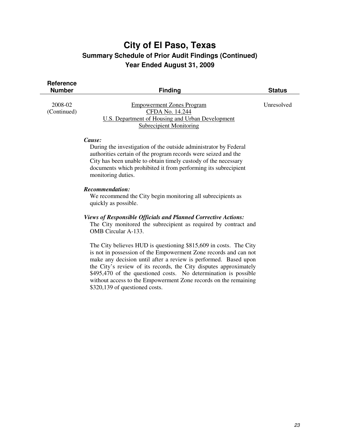| <b>Reference</b><br><b>Number</b> | <b>Finding</b>                                                                                                                                                                                                                                                                                         | <b>Status</b> |
|-----------------------------------|--------------------------------------------------------------------------------------------------------------------------------------------------------------------------------------------------------------------------------------------------------------------------------------------------------|---------------|
| 2008-02<br>(Continued)            | <b>Empowerment Zones Program</b><br>CFDA No. 14.244<br>U.S. Department of Housing and Urban Development<br><b>Subrecipient Monitoring</b>                                                                                                                                                              | Unresolved    |
|                                   | Cause:<br>During the investigation of the outside administrator by Federal<br>authorities certain of the program records were seized and the<br>City has been unable to obtain timely custody of the necessary<br>documents which prohibited it from performing its subrecipient<br>monitoring duties. |               |
|                                   | Recommendation:<br>We recommend the City begin monitoring all subrecipients as<br>quickly as possible.                                                                                                                                                                                                 |               |

#### *Views of Responsible Officials and Planned Corrective Actions:*

 The City monitored the subrecipient as required by contract and OMB Circular A-133.

The City believes HUD is questioning \$815,609 in costs. The City is not in possession of the Empowerment Zone records and can not make any decision until after a review is performed. Based upon the City's review of its records, the City disputes approximately \$495,470 of the questioned costs. No determination is possible without access to the Empowerment Zone records on the remaining \$320,139 of questioned costs.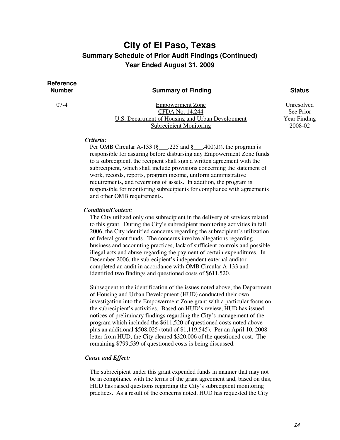| <b>Reference</b><br><b>Number</b> | <b>Summary of Finding</b>                        | <b>Status</b> |
|-----------------------------------|--------------------------------------------------|---------------|
| $07-4$                            | <b>Empowerment Zone</b>                          | Unresolved    |
|                                   | CFDA No. 14.244                                  | See Prior     |
|                                   | U.S. Department of Housing and Urban Development | Year Finding  |
|                                   | <b>Subrecipient Monitoring</b>                   | 2008-02       |
|                                   |                                                  |               |

#### *Criteria:*

Per OMB Circular A-133 (§ $\qquad$ .225 and § $\qquad$ .400(d)), the program is responsible for assuring before disbursing any Empowerment Zone funds to a subrecipient, the recipient shall sign a written agreement with the subrecipient, which shall include provisions concerning the statement of work, records, reports, program income, uniform administrative requirements, and reversions of assets. In addition, the program is responsible for monitoring subrecipients for compliance with agreements and other OMB requirements.

#### *Condition/Context:*

 The City utilized only one subrecipient in the delivery of services related to this grant. During the City's subrecipient monitoring activities in fall 2006, the City identified concerns regarding the subrecipient's utilization of federal grant funds. The concerns involve allegations regarding business and accounting practices, lack of sufficient controls and possible illegal acts and abuse regarding the payment of certain expenditures. In December 2006, the subrecipient's independent external auditor completed an audit in accordance with OMB Circular A-133 and identified two findings and questioned costs of \$611,520.

Subsequent to the identification of the issues noted above, the Department of Housing and Urban Development (HUD) conducted their own investigation into the Empowerment Zone grant with a particular focus on the subrecipient's activities. Based on HUD's review, HUD has issued notices of preliminary findings regarding the City's management of the program which included the \$611,520 of questioned costs noted above plus an additional \$508,025 (total of \$1,119,545). Per an April 10, 2008 letter from HUD, the City cleared \$320,006 of the questioned cost. The remaining \$799,539 of questioned costs is being discussed.

#### *Cause and Effect:*

 The subrecipient under this grant expended funds in manner that may not be in compliance with the terms of the grant agreement and, based on this, HUD has raised questions regarding the City's subrecipient monitoring practices. As a result of the concerns noted, HUD has requested the City